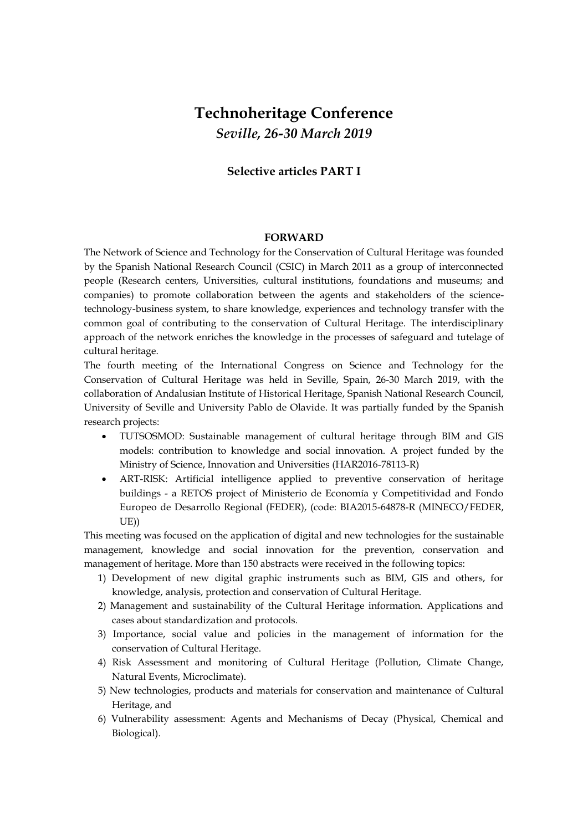## **Technoheritage Conference** *Seville, 26-30 March 2019*

## **Selective articles PART I**

## **FORWARD**

The Network of Science and Technology for the Conservation of Cultural Heritage was founded by the Spanish National Research Council (CSIC) in March 2011 as a group of interconnected people (Research centers, Universities, cultural institutions, foundations and museums; and companies) to promote collaboration between the agents and stakeholders of the sciencetechnology-business system, to share knowledge, experiences and technology transfer with the common goal of contributing to the conservation of Cultural Heritage. The interdisciplinary approach of the network enriches the knowledge in the processes of safeguard and tutelage of cultural heritage.

The fourth meeting of the International Congress on Science and Technology for the Conservation of Cultural Heritage was held in Seville, Spain, 26-30 March 2019, with the collaboration of Andalusian Institute of Historical Heritage, Spanish National Research Council, University of Seville and University Pablo de Olavide. It was partially funded by the Spanish research projects:

- TUTSOSMOD: Sustainable management of cultural heritage through BIM and GIS models: contribution to knowledge and social innovation. A project funded by the Ministry of Science, Innovation and Universities (HAR2016-78113-R)
- ART-RISK: Artificial intelligence applied to preventive conservation of heritage buildings - a RETOS project of Ministerio de Economía y Competitividad and Fondo Europeo de Desarrollo Regional (FEDER), (code: BIA2015-64878-R (MINECO/FEDER, UE))

This meeting was focused on the application of digital and new technologies for the sustainable management, knowledge and social innovation for the prevention, conservation and management of heritage. More than 150 abstracts were received in the following topics:

- 1) Development of new digital graphic instruments such as BIM, GIS and others, for knowledge, analysis, protection and conservation of Cultural Heritage.
- 2) Management and sustainability of the Cultural Heritage information. Applications and cases about standardization and protocols.
- 3) Importance, social value and policies in the management of information for the conservation of Cultural Heritage.
- 4) Risk Assessment and monitoring of Cultural Heritage (Pollution, Climate Change, Natural Events, Microclimate).
- 5) New technologies, products and materials for conservation and maintenance of Cultural Heritage, and
- 6) Vulnerability assessment: Agents and Mechanisms of Decay (Physical, Chemical and Biological).